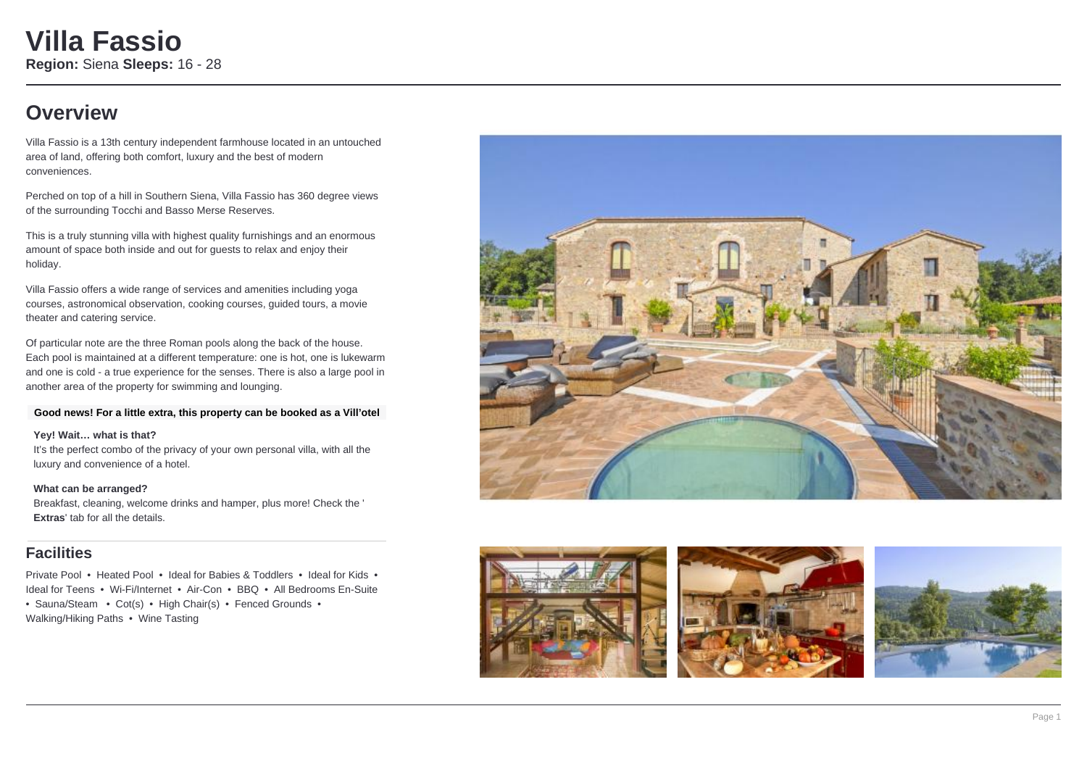## **Overview**

Villa Fassio is a 13th century independent farmhouse located in an untouched area of land, offering both comfort, luxury and the best of modern conveniences.

Perched on top of a hill in Southern Siena, Villa Fassio has 360 degree views of the surrounding Tocchi and Basso Merse Reserves.

This is a truly stunning villa with highest quality furnishings and an enormous amount of space both inside and out for guests to relax and enjoy their holiday.

Villa Fassio offers a wide range of services and amenities including yoga courses, astronomical observation, cooking courses, guided tours, a movie theater and catering service.

Of particular note are the three Roman pools along the back of the house. Each pool is maintained at a different temperature: one is hot, one is lukewarm and one is cold - a true experience for the senses. There is also a large pool in another area of the property for swimming and lounging.

### **Good news! For a little extra, this property can be booked as a Vill'otel**

### **Yey! Wait… what is that?**

It's the perfect combo of the privacy of your own personal villa, with all the luxury and convenience of a hotel.

### **What can be arranged?**

Breakfast, cleaning, welcome drinks and hamper, plus more! Check the ' **Extras**' tab for all the details.

## **Facilities**

Private Pool • Heated Pool • Ideal for Babies & Toddlers • Ideal for Kids • Ideal for Teens • Wi-Fi/Internet • Air-Con • BBQ • All Bedrooms En-Suite • Sauna/Steam • Cot(s) • High Chair(s) • Fenced Grounds • Walking/Hiking Paths • Wine Tasting







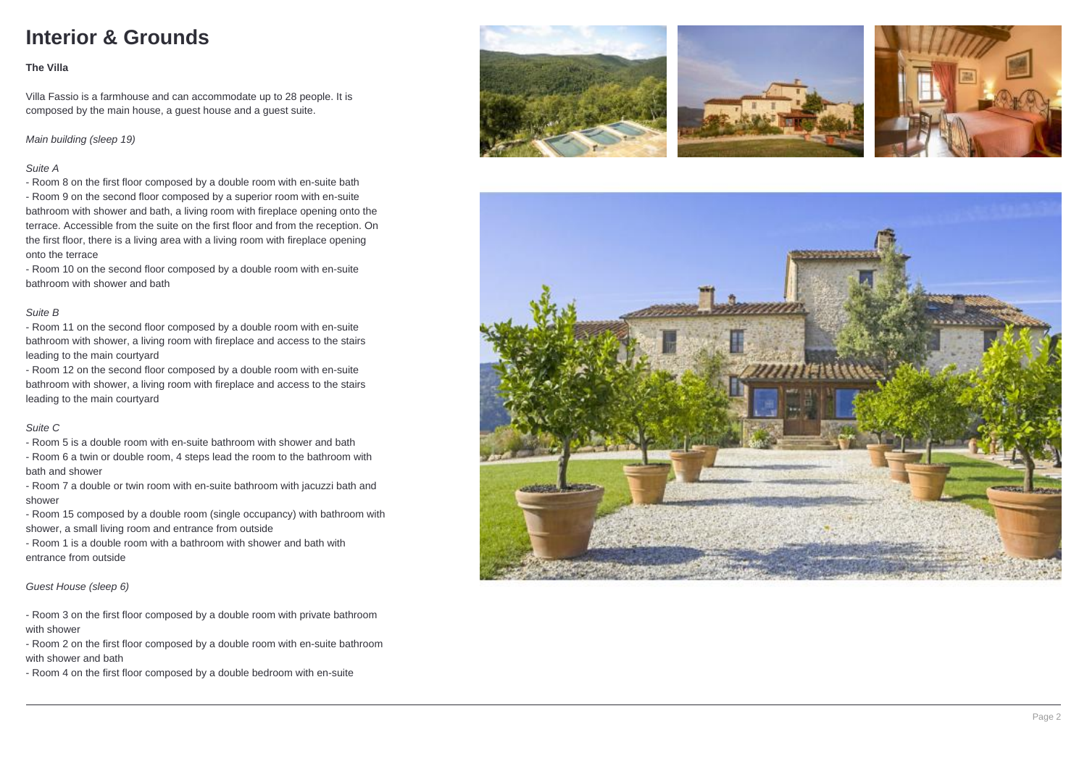# **Interior & Grounds**

## **The Villa**

Villa Fassio is a farmhouse and can accommodate up to 28 people. It is composed by the main house, a guest house and a guest suite.

Main building (sleep 19)

## Suite A

- Room 8 on the first floor composed by a double room with en-suite bath - Room 9 on the second floor composed by a superior room with en-suite bathroom with shower and bath, a living room with fireplace opening onto the terrace. Accessible from the suite on the first floor and from the reception. On the first floor, there is a living area with a living room with fireplace opening onto the terrace

- Room 10 on the second floor composed by a double room with en-suite bathroom with shower and bath

### Suite B

- Room 11 on the second floor composed by a double room with en-suite bathroom with shower, a living room with fireplace and access to the stairs leading to the main courtyard

- Room 12 on the second floor composed by a double room with en-suite bathroom with shower, a living room with fireplace and access to the stairs leading to the main courtyard

### Suite C

- Room 5 is a double room with en-suite bathroom with shower and bath

- Room 6 a twin or double room, 4 steps lead the room to the bathroom with bath and shower

- Room 7 a double or twin room with en-suite bathroom with jacuzzi bath and shower

- Room 15 composed by a double room (single occupancy) with bathroom with shower, a small living room and entrance from outside

- Room 1 is a double room with a bathroom with shower and bath with entrance from outside

Guest House (sleep 6)

- Room 3 on the first floor composed by a double room with private bathroom with shower

- Room 2 on the first floor composed by a double room with en-suite bathroom with shower and bath

- Room 4 on the first floor composed by a double bedroom with en-suite







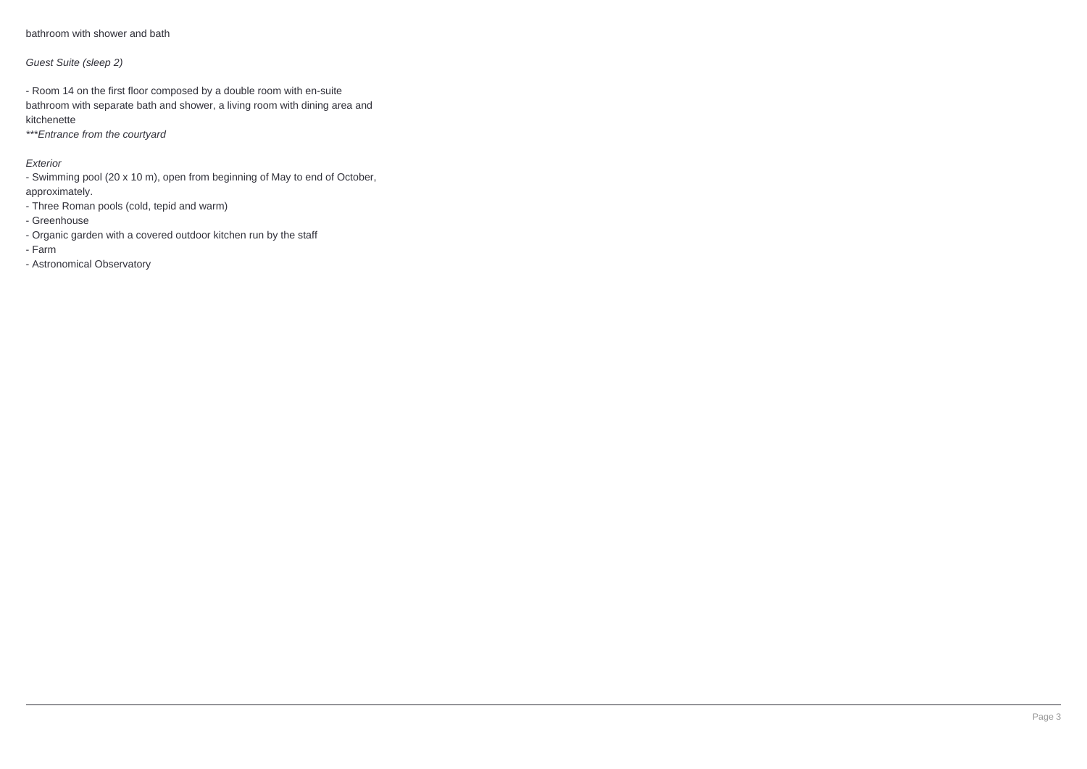bathroom with shower and bath

## Guest Suite (sleep 2)

- Room 14 on the first floor composed by a double room with en-suite bathroom with separate bath and shower, a living room with dining area and kitchenette

\*\*\*Entrance from the courtyard

## Exterior

- Swimming pool (20 x 10 m), open from beginning of May to end of October,

approximately.

- Three Roman pools (cold, tepid and warm)

- Greenhouse

- Organic garden with a covered outdoor kitchen run by the staff
- Farm

- Astronomical Observatory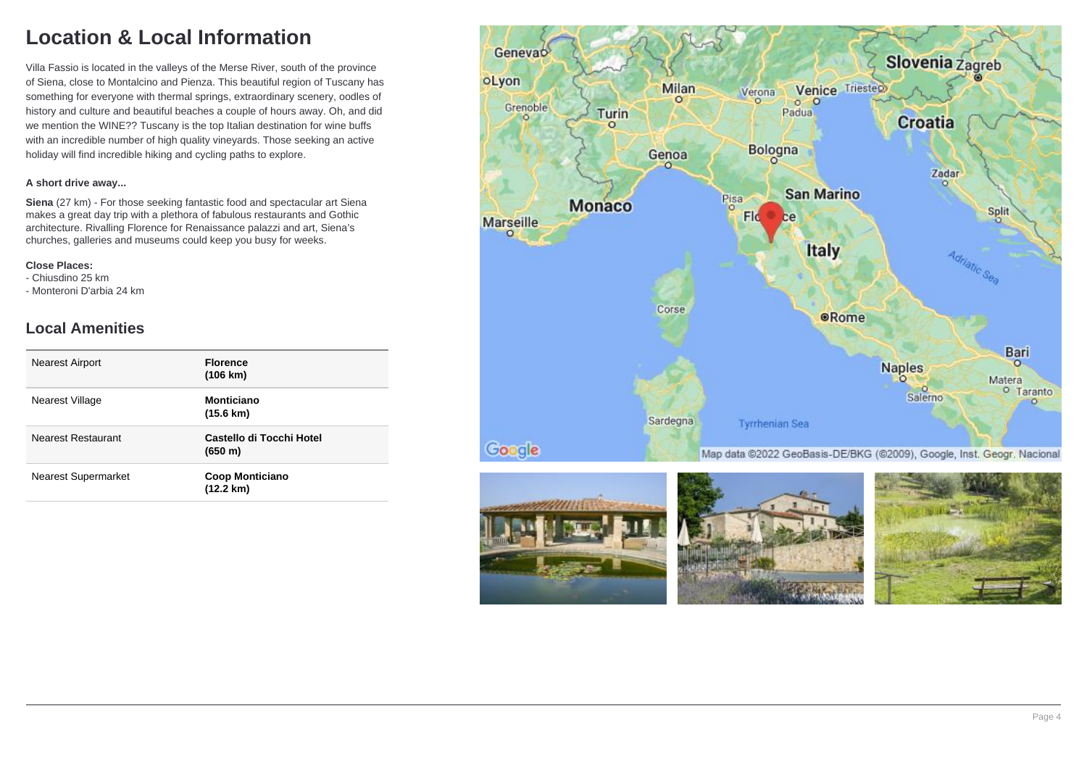# **Location & Local Information**

Villa Fassio is located in the valleys of the Merse River, south of the province of Siena, close to Montalcino and Pienza. This beautiful region of Tuscany has something for everyone with thermal springs, extraordinary scenery, oodles of history and culture and beautiful beaches a couple of hours away. Oh, and did we mention the WINE?? Tuscany is the top Italian destination for wine buffs with an incredible number of high quality vineyards. Those seeking an active holiday will find incredible hiking and cycling paths to explore.

## **A short drive away...**

**Siena** (27 km) - For those seeking fantastic food and spectacular art Siena makes a great day trip with a plethora of fabulous restaurants and Gothic architecture. Rivalling Florence for Renaissance palazzi and art, Siena's churches, galleries and museums could keep you busy for weeks.

#### **Close Places:**

- Chiusdino 25 km

- Monteroni D'arbia 24 km

## **Local Amenities**

| <b>Florence</b><br>$(106 \text{ km})$         |
|-----------------------------------------------|
| <b>Monticiano</b><br>$(15.6 \text{ km})$      |
| Castello di Tocchi Hotel<br>(650 m)           |
| <b>Coop Monticiano</b><br>$(12.2 \text{ km})$ |
|                                               |







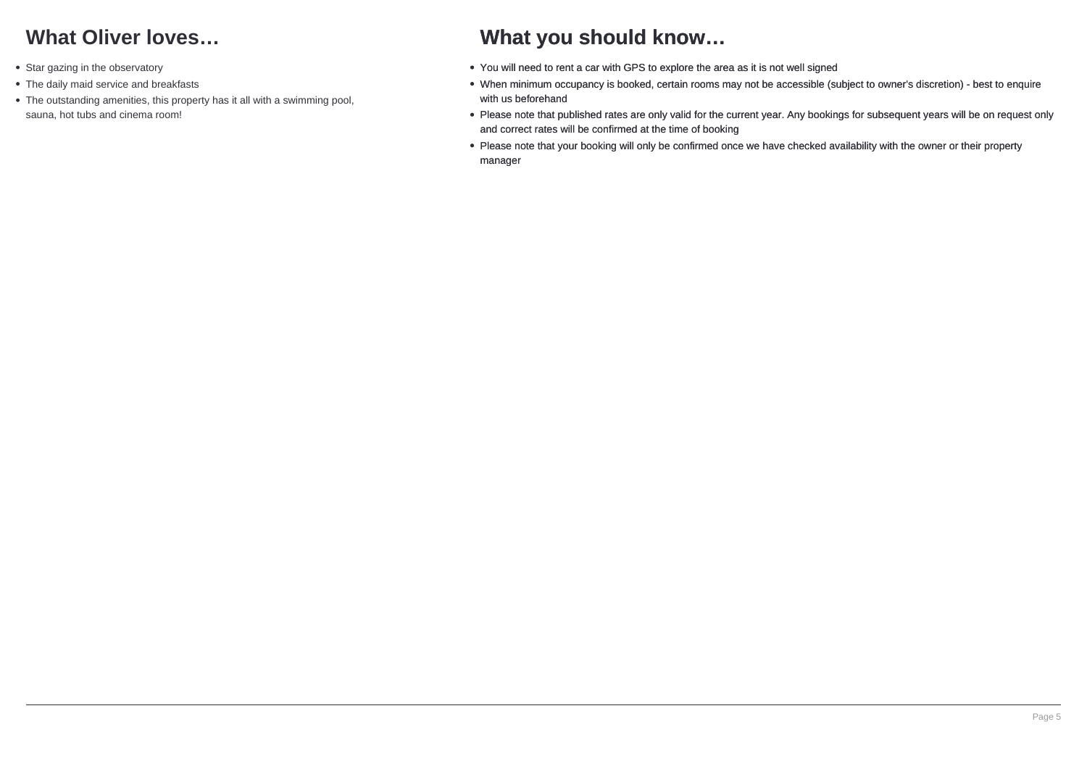## **What Oliver loves…**

- Star gazing in the observatory
- The daily maid service and breakfasts
- The outstanding amenities, this property has it all with a swimming pool, sauna, hot tubs and cinema room!

## **What you should know…**

- You will need to rent a car with GPS to explore the area as it is not well signed
- When minimum occupancy is booked, certain rooms may not be accessible (subject to owner's discretion) best to enquire with us beforehand
- Please note that published rates are only valid for the current year. Any bookings for subsequent years will be on request only and correct rates will be confirmed at the time of booking
- Please note that your booking will only be confirmed once we have checked availability with the owner or their property manager